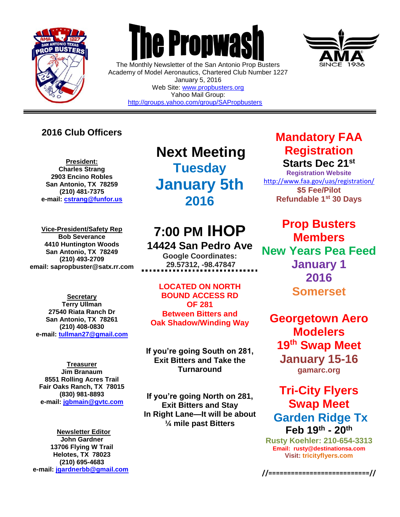

 $\overline{a}$ 



The Monthly Newsletter of the San Antonio Prop Busters Academy of Model Aeronautics, Chartered Club Number 1227 January 5, 2016 Web Site: [www.propbusters.org](http://www.propbusters.org/) Yahoo Mail Group: <http://groups.yahoo.com/group/SAPropbusters>

### **2016 Club Officers**

**President: Charles Strang 2903 Encino Robles San Antonio, TX 78259 (210) 481-7375 e-mail: [cstrang@funfor.us](mailto:cstrang@funfor.us)**

**Vice-President/Safety Rep Bob Severance 4410 Huntington Woods San Antonio, TX 78249 (210) 493-2709 email: sapropbuster@satx.rr.com**

**Secretary Terry Ullman 27540 Riata Ranch Dr San Antonio, TX 78261 (210) 408-0830 e-mail: [tullman27@gmail.com](mailto:tullman27@gmail.com)**

**Treasurer Jim Branaum 8551 Rolling Acres Trail Fair Oaks Ranch, TX 78015 (830) 981-8893 e-mail: [jgbmain@gvtc.com](mailto:jgbmain@gvtc.com)**

**Newsletter Editor John Gardner 13706 Flying W Trail Helotes, TX 78023 (210) 695-4683 e-mail: [jgardnerbb@gmail.com](mailto:jgardnerbb@gmail.com)**

**Next Meeting Tuesday January 5th 2016**

# **7:00 PM IHOP**

**14424 San Pedro Ave Google Coordinates: 29.57312, -98.47847**

**LOCATED ON NORTH BOUND ACCESS RD OF 281 Between Bitters and Oak Shadow/Winding Way**

**If you're going South on 281, Exit Bitters and Take the Turnaround**

**If you're going North on 281, Exit Bitters and Stay In Right Lane—It will be about ¼ mile past Bitters**

### **Mandatory FAA Registration Starts Dec 21st**

**Registration Website** <http://www.faa.gov/uas/registration/> **\$5 Fee/Pilot Refundable 1st 30 Days** 

**Prop Busters Members New Years Pea Feed January 1 2016 Somerset**

**Georgetown Aero Modelers 19th Swap Meet January 15-16 gamarc.org**

### **Tri-City Flyers Swap Meet Garden Ridge Tx Feb 19th - 20th**

**Rusty Koehler: 210-654-3313 Email: rusty@destinationsa.com Visit: [tricityflyers.com](http://www.gamarc.org/)**

**//===========================//**

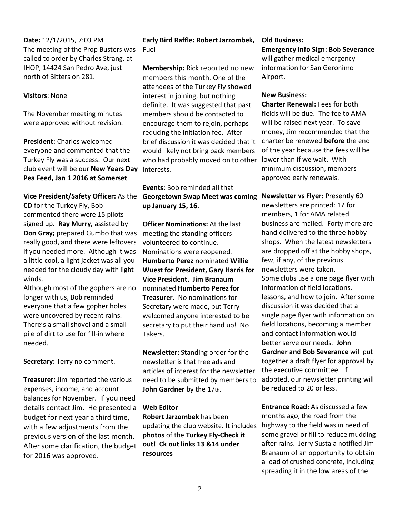#### **Date:** 12/1/2015, 7:03 PM The meeting of the Prop Busters was called to order by Charles Strang, at IHOP, 14424 San Pedro Ave, just north of Bitters on 281.

#### **Visitors**: None

The November meeting minutes were approved without revision.

**President:** Charles welcomed everyone and commented that the Turkey Fly was a success. Our next club event will be our **New Years Day Pea Feed, Jan 1 2016 at Somerset**

**Vice President/Safety Officer:** As the **CD** for the Turkey Fly, Bob commented there were 15 pilots signed up. **Ray Murry,** assisted by **Don Gray;** prepared Gumbo that was really good, and there were leftovers if you needed more. Although it was a little cool, a light jacket was all you needed for the cloudy day with light winds.

Although most of the gophers are no longer with us, Bob reminded everyone that a few gopher holes were uncovered by recent rains. There's a small shovel and a small pile of dirt to use for fill-in where needed.

**Secretary:** Terry no comment.

**Treasurer:** Jim reported the various expenses, income, and account balances for November. If you need details contact Jim. He presented a budget for next year a third time, with a few adjustments from the previous version of the last month. After some clarification, the budget for 2016 was approved.

#### **Early Bird Raffle: Robert Jarzombek,**  Fuel

**Membership:** Rick reported no new members this month. One of the attendees of the Turkey Fly showed interest in joining, but nothing definite. It was suggested that past members should be contacted to encourage them to rejoin, perhaps reducing the initiation fee. After brief discussion it was decided that it would likely not bring back members who had probably moved on to other interests.

#### **Events:** Bob reminded all that **Georgetown Swap Meet was coming up January 15, 16**.

**Officer Nominations:** At the last meeting the standing officers volunteered to continue. Nominations were reopened. **Humberto Perez** nominated **Willie Wuest for President, Gary Harris for Vice President. Jim Branaum** nominated **Humberto Perez for Treasurer**. No nominations for Secretary were made, but Terry welcomed anyone interested to be secretary to put their hand up! No Takers.

**Newsletter:** Standing order for the newsletter is that free ads and articles of interest for the newsletter need to be submitted by members to John Gardner by the 17th.

#### **Web Editor**

**Robert Jarzombek** has been updating the club website. It includes **photos** of the **Turkey Fly**-**Check it out! Ck out links 13 &14 under resources** 

#### **Old Business:**

**Emergency Info Sign: Bob Severance** will gather medical emergency information for San Geronimo Airport.

#### **New Business:**

**Charter Renewal:** Fees for both fields will be due. The fee to AMA will be raised next year. To save money, Jim recommended that the charter be renewed **before** the end of the year because the fees will be lower than if we wait. With minimum discussion, members approved early renewals.

**Newsletter vs Flyer:** Presently 60 newsletters are printed: 17 for members, 1 for AMA related business are mailed. Forty more are hand delivered to the three hobby shops. When the latest newsletters are dropped off at the hobby shops, few, if any, of the previous newsletters were taken. Some clubs use a one page flyer with information of field locations, lessons, and how to join. After some discussion it was decided that a single page flyer with information on field locations, becoming a member and contact information would better serve our needs. **John Gardner and Bob Severance** will put together a draft flyer for approval by the executive committee. If adopted, our newsletter printing will be reduced to 20 or less.

**Entrance Road:** As discussed a few months ago, the road from the highway to the field was in need of some gravel or fill to reduce mudding after rains. Jerry Sustala notified Jim Branaum of an opportunity to obtain a load of crushed concrete, including spreading it in the low areas of the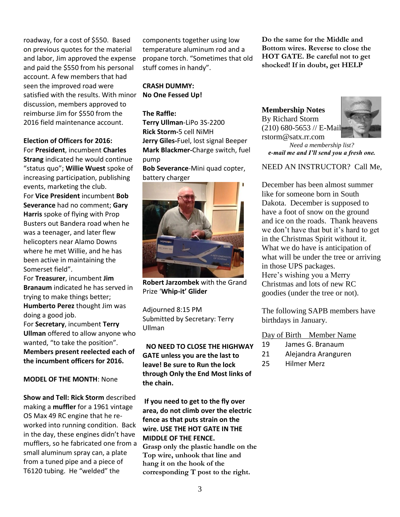roadway, for a cost of \$550. Based on previous quotes for the material and labor, Jim approved the expense and paid the \$550 from his personal account. A few members that had seen the improved road were satisfied with the results. With minor discussion, members approved to reimburse Jim for \$550 from the 2016 field maintenance account.

#### **Election of Officers for 2016:**

For **President**, incumbent **Charles Strang** indicated he would continue "status quo"; **Willie Wuest** spoke of increasing participation, publishing events, marketing the club. For **Vice President** incumbent **Bob Severance** had no comment; **Gary Harris** spoke of flying with Prop Busters out Bandera road when he was a teenager, and later flew helicopters near Alamo Downs where he met Willie, and he has been active in maintaining the Somerset field".

For **Treasurer**, incumbent **Jim Branaum** indicated he has served in trying to make things better; **Humberto Perez** thought Jim was doing a good job. For **Secretary**, incumbent **Terry Ullman** offered to allow anyone who wanted, "to take the position". **Members present reelected each of the incumbent officers for 2016.**

#### **MODEL OF THE MONTH**: None

**Show and Tell: Rick Storm** described making a **muffler** for a 1961 vintage OS Max 49 RC engine that he reworked into running condition. Back in the day, these engines didn't have mufflers, so he fabricated one from a small aluminum spray can, a plate from a tuned pipe and a piece of T6120 tubing. He "welded" the

components together using low temperature aluminum rod and a propane torch. "Sometimes that old stuff comes in handy".

#### **CRASH DUMMY: No One Fessed Up!**

#### **The Raffle:**

**Terry Ullman**-LiPo 3S-2200 **Rick Storm-**5 cell NiMH **Jerry Giles-**Fuel, lost signal Beeper **Mark Blackmer-**Charge switch, fuel pump

**Bob Severance**-Mini quad copter, battery charger



**Robert Jarzombek** with the Grand Prize '**Whip-it' Glider**

Adjourned 8:15 PM Submitted by Secretary: Terry Ullman

 **NO NEED TO CLOSE THE HIGHWAY GATE unless you are the last to leave! Be sure to Run the lock through Only the End Most links of the chain.**

**If you need to get to the fly over area, do not climb over the electric fence as that puts strain on the wire. USE THE HOT GATE IN THE MIDDLE OF THE FENCE. Grasp only the plastic handle on the Top wire, unhook that line and hang it on the hook of the corresponding T post to the right.** 

**Do the same for the Middle and Bottom wires. Reverse to close the HOT GATE. Be careful not to get shocked! If in doubt, get HELP**



*Need a membership list? e-mail me and I'll send you a fresh one.*

#### NEED AN INSTRUCTOR? Call Me,

December has been almost summer like for someone born in South Dakota. December is supposed to have a foot of snow on the ground and ice on the roads. Thank heavens we don't have that but it's hard to get in the Christmas Spirit without it. What we do have is anticipation of what will be under the tree or arriving in those UPS packages. Here's wishing you a Merry Christmas and lots of new RC goodies (under the tree or not).

The following SAPB members have birthdays in January.

Day of Birth Member Name

- 19 James G. Branaum
- 21 Alejandra Aranguren
- 25 Hilmer Merz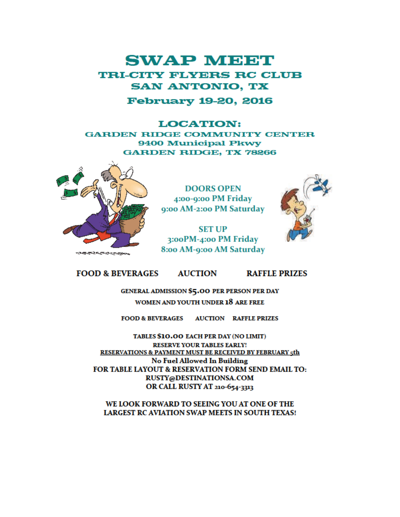## **SWAP MEET TRI-CITY FLYERS RC CLUB SAN ANTONIO, TX**

#### **February 19-20, 2016**

#### **LOCATION: GARDEN RIDGE COMMUNITY CENTER 9400 Municipal Pkwy GARDEN RIDGE, TX 78266**



**DOORS OPEN** 4:00-9:00 PM Friday 9:00 AM-2:00 PM Saturday

**SET UP** 3:00PM-4:00 PM Friday 8:00 AM-9:00 AM Saturday



#### **FOOD & BEVERAGES AUCTION RAFFLE PRIZES**

### **GENERAL ADMISSION \$5.00 PER PERSON PER DAY** WOMEN AND YOUTH UNDER 18 ARE FREE

FOOD & BEVERAGES AUCTION RAFFLE PRIZES

TABLES \$10.00 EACH PER DAY (NO LIMIT) **RESERVE YOUR TABLES EARLY! RESERVATIONS & PAYMENT MUST BE RECEIVED BY FEBRUARY 5th No Fuel Allowed In Building** FOR TABLE LAYOUT & RESERVATION FORM SEND EMAIL TO: RUSTY@DESTINATIONSA.COM OR CALL RUSTY AT 210-654-3313

WE LOOK FORWARD TO SEEING YOU AT ONE OF THE **LARGEST RC AVIATION SWAP MEETS IN SOUTH TEXAS!**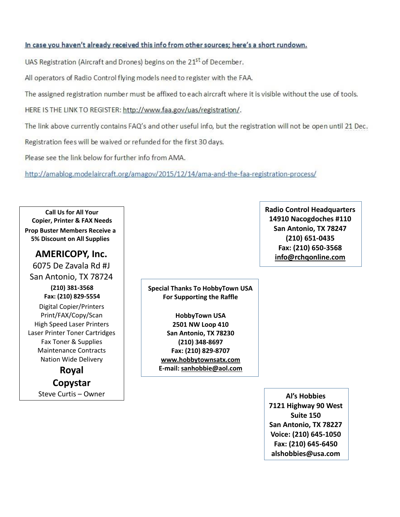#### In case you haven't already received this info from other sources; here's a short rundown.

UAS Registration (Aircraft and Drones) begins on the 21<sup>st</sup> of December.

All operators of Radio Control flying models need to register with the FAA.

The assigned registration number must be affixed to each aircraft where it is visible without the use of tools.

HERE IS THE LINK TO REGISTER: http://www.faa.gov/uas/registration/.

The link above currently contains FAQ's and other useful info, but the registration will not be open until 21 Dec.

Registration fees will be waived or refunded for the first 30 days.

Please see the link below for further info from AMA.

http://amablog.modelaircraft.org/amagov/2015/12/14/ama-and-the-faa-registration-process/

**Call Us for All Your Copier, Printer & FAX Needs Prop Buster Members Receive a 5% Discount on All Supplies**

### **AMERICOPY, Inc.**

6075 De Zavala Rd #J San Antonio, TX 78724

> **(210) 381-3568 Fax: (210) 829-5554**

Digital Copier/Printers Print/FAX/Copy/Scan High Speed Laser Printers Laser Printer Toner Cartridges Fax Toner & Supplies Maintenance Contracts Nation Wide Delivery

> **Royal Copystar** Steve Curtis – Owner **Al's Hobbies**

**Special Thanks To HobbyTown USA For Supporting the Raffle**

> **HobbyTown USA 2501 NW Loop 410 San Antonio, TX 78230 (210) 348-8697 Fax: (210) 829-8707 [www.hobbytownsatx.com](http://www.hobbytownsatx.com/) E-mail: [sanhobbie@aol.com](mailto:sanhobbie@aol.com)**

**Radio Control Headquarters 14910 Nacogdoches #110 San Antonio, TX 78247 (210) 651-0435 Fax: (210) 650-3568 [info@rchqonline.com](mailto:info@rchqonline.com)**

**7121 Highway 90 West Suite 150 San Antonio, TX 78227 Voice: (210) 645-1050 Fax: (210) 645-6450 alshobbies@usa.com**